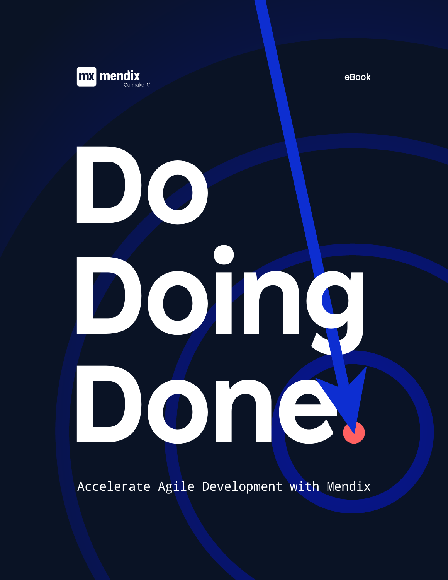

eBook

# **Do Done Doing**

Accelerate Agile Development with Mendix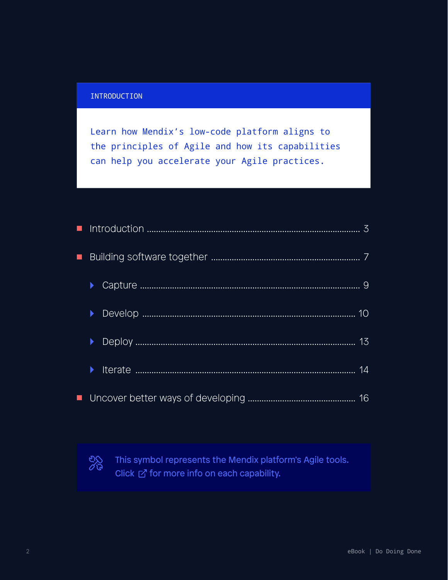#### INTRODUCTION

Learn how Mendix's low-code platform aligns to the principles of Agile and how its capabilities can help you accelerate your Agile practices.

| $\blacksquare$ |  |  |  |
|----------------|--|--|--|
|                |  |  |  |
|                |  |  |  |
|                |  |  |  |
|                |  |  |  |
|                |  |  |  |



This symbol represents the Mendix platform's Agile tools. Click  $\mathbb Z$  for more info on each capability.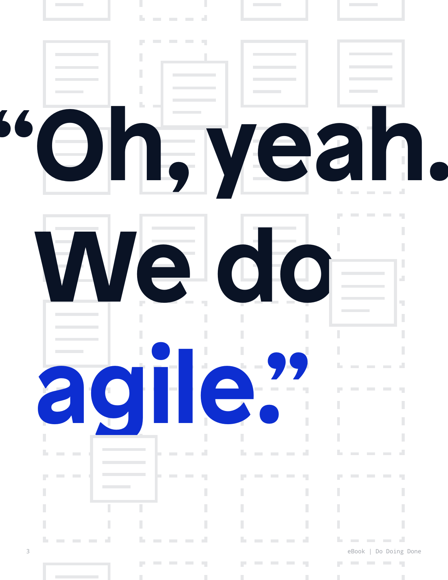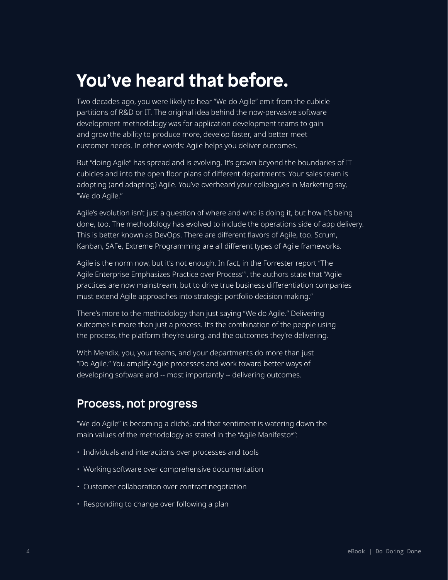### **You've heard that before.**

Two decades ago, you were likely to hear "We do Agile" emit from the cubicle partitions of R&D or IT. The original idea behind the now-pervasive software development methodology was for application development teams to gain and grow the ability to produce more, develop faster, and better meet customer needs. In other words: Agile helps you deliver outcomes.

But "doing Agile" has spread and is evolving. It's grown beyond the boundaries of IT cubicles and into the open floor plans of different departments. Your sales team is adopting (and adapting) Agile. You've overheard your colleagues in Marketing say, "We do Agile."

Agile's evolution isn't just a question of where and who is doing it, but how it's being done, too. The methodology has evolved to include the operations side of app delivery. This is better known as DevOps. There are different flavors of Agile, too. Scrum, Kanban, SAFe, Extreme Programming are all different types of Agile frameworks.

Agile is the norm now, but it's not enough. In fact, in the Forrester report "The Agile Enterprise Emphasizes Practice over Process"<sup>i</sup> , the authors state that "Agile practices are now mainstream, but to drive true business differentiation companies must extend Agile approaches into strategic portfolio decision making."

There's more to the methodology than just saying "We do Agile." Delivering outcomes is more than just a process. It's the combination of the people using the process, the platform they're using, and the outcomes they're delivering.

With Mendix, you, your teams, and your departments do more than just "Do Agile." You amplify Agile processes and work toward better ways of developing software and -- most importantly -- delivering outcomes.

#### Process, not progress

"We do Agile" is becoming a cliché, and that sentiment is watering down the main values of the methodology as stated in the "Agile Manifesto"":

- Individuals and interactions over processes and tools
- Working software over comprehensive documentation
- Customer collaboration over contract negotiation
- Responding to change over following a plan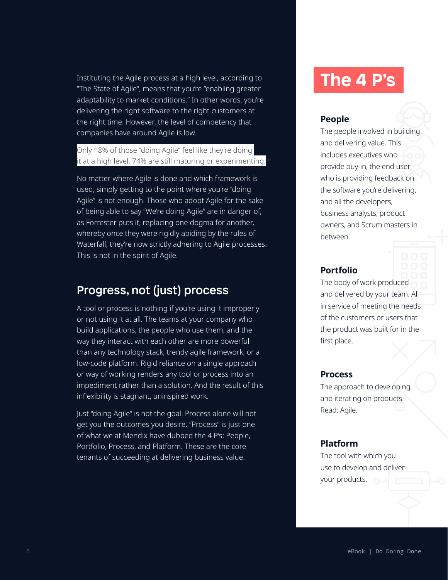Instituting the Agile process at a high level, according to "The State of Agile", means that you're "enabling greater adaptability to market conditions." In other words, you're delivering the right software to the right customers at the right time. However, the level of competency that companies have around Agile is low.

Only 18% of those "doing Agile" feel like they're doing it at a high level. 74% are still maturing or experimenting.

No matter where Agile is done and which framework is used, simply getting to the point where you're "doing Agile" is not enough. Those who adopt Agile for the sake of being able to say "We're doing Agile" are in danger of, as Forrester puts it, replacing one dogma for another, whereby once they were rigidly abiding by the rules of Waterfall, they're now strictly adhering to Agile processes. This is not in the spirit of Agile.

### Progress, not (just) process

A tool or process is nothing if you're using it improperly or not using it at all. The teams at your company who build applications, the people who use them, and the way they interact with each other are more powerful than any technology stack, trendy agile framework, or a low-code platform. Rigid reliance on a single approach or way of working renders any tool or process into an impediment rather than a solution. And the result of this inflexibility is stagnant, uninspired work.

Just "doing Agile" is not the goal. Process alone will not get you the outcomes you desire. "Process" is just one of what we at Mendix have dubbed the 4 P's: People, Portfolio, Process, and Platform. These are the core tenants of succeeding at delivering business value.

# **The 4 P's**

#### **People**

The people involved in building and delivering value. This includes executives who provide buy-in, the end user who is providing feedback on the software you're delivering, and all the developers, business analysts, product owners, and Scrum masters in between.

#### **Portfolio**

The body of work produced and delivered by your team. All in service of meeting the needs of the customers or users that the product was built for in the first place.

#### **Process**

The approach to developing and iterating on products. Read: Agile.

#### **Platform**

The tool with which you use to develop and deliver your products.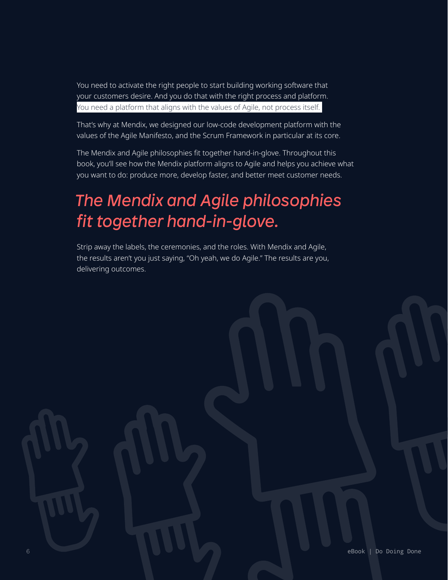You need to activate the right people to start building working software that your customers desire. And you do that with the right process and platform. You need a platform that aligns with the values of Agile, not process itself.

That's why at Mendix, we designed our low-code development platform with the values of the Agile Manifesto, and the Scrum Framework in particular at its core.

The Mendix and Agile philosophies fit together hand-in-glove. Throughout this book, you'll see how the Mendix platform aligns to Agile and helps you achieve what you want to do: produce more, develop faster, and better meet customer needs.

# *The Mendix and Agile philosophies fit together hand-in-glove.*

Strip away the labels, the ceremonies, and the roles. With Mendix and Agile, the results aren't you just saying, "Oh yeah, we do Agile." The results are you, delivering outcomes.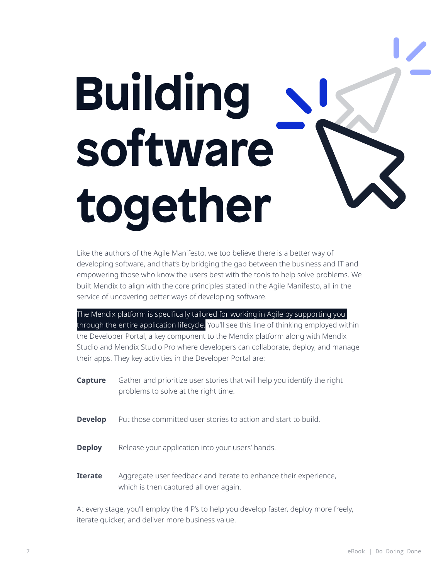# **Building software together**

Like the authors of the Agile Manifesto, we too believe there is a better way of developing software, and that's by bridging the gap between the business and IT and empowering those who know the users best with the tools to help solve problems. We built Mendix to align with the core principles stated in the Agile Manifesto, all in the service of uncovering better ways of developing software.

The Mendix platform is specifically tailored for working in Agile by supporting you through the entire application lifecycle. You'll see this line of thinking employed within the Developer Portal, a key component to the Mendix platform along with Mendix Studio and Mendix Studio Pro where developers can collaborate, deploy, and manage their apps. They key activities in the Developer Portal are:

| Capture        | Gather and prioritize user stories that will help you identify the right<br>problems to solve at the right time. |
|----------------|------------------------------------------------------------------------------------------------------------------|
| <b>Develop</b> | Put those committed user stories to action and start to build.                                                   |
| <b>Deploy</b>  | Release your application into your users' hands.                                                                 |
| <b>Iterate</b> | Aggregate user feedback and iterate to enhance their experience,<br>which is then captured all over again.       |

At every stage, you'll employ the 4 P's to help you develop faster, deploy more freely, iterate quicker, and deliver more business value.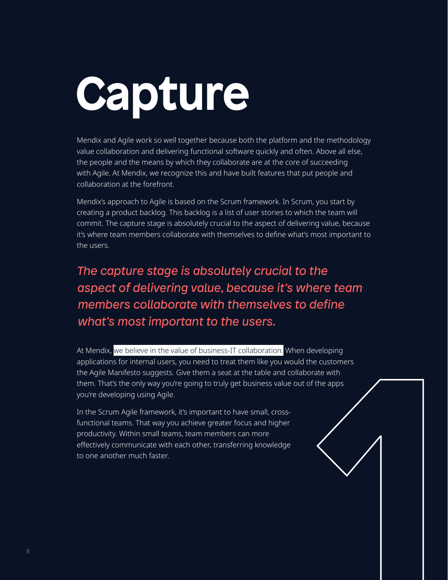# **Capture**

Mendix and Agile work so well together because both the platform and the methodology value collaboration and delivering functional software quickly and often. Above all else, the people and the means by which they collaborate are at the core of succeeding with Agile. At Mendix, we recognize this and have built features that put people and collaboration at the forefront.

Mendix's approach to Agile is based on the Scrum framework. In Scrum, you start by creating a product backlog. This backlog is a list of user stories to which the team will commit. The capture stage is absolutely crucial to the aspect of delivering value, because it's where team members collaborate with themselves to define what's most important to the users.

*The capture stage is absolutely crucial to the aspect of delivering value, because it's where team members collaborate with themselves to define what's most important to the users.*

At Mendix, we believe in the value of business-IT collaboration. When developing applications for internal users, you need to treat them like you would the customers the Agile Manifesto suggests. Give them a seat at the table and collaborate with them. That's the only way you're going to truly get business value out of the apps you're developing using Agile.

In the Scrum Agile framework, it's important to have small, crossfunctional teams. That way you achieve greater focus and higher productivity. Within small teams, team members can more effectively communicate with each other, transferring knowledge to one another much faster.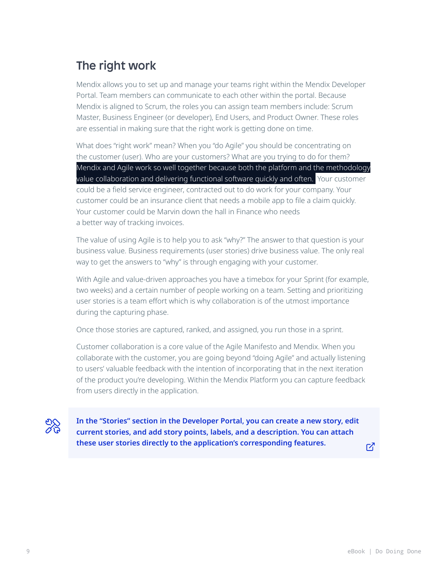### The right work

Mendix allows you to set up and manage your teams right within the Mendix Developer Portal. Team members can communicate to each other within the portal. Because Mendix is aligned to Scrum, the roles you can assign team members include: Scrum Master, Business Engineer (or developer), End Users, and Product Owner. These roles are essential in making sure that the right work is getting done on time.

What does "right work" mean? When you "do Agile" you should be concentrating on the customer (user). Who are your customers? What are you trying to do for them? Mendix and Agile work so well together because both the platform and the methodology value collaboration and delivering functional software quickly and often. Your customer could be a field service engineer, contracted out to do work for your company. Your customer could be an insurance client that needs a mobile app to file a claim quickly. Your customer could be Marvin down the hall in Finance who needs a better way of tracking invoices.

The value of using Agile is to help you to ask "why?" The answer to that question is your business value. Business requirements (user stories) drive business value. The only real way to get the answers to "why" is through engaging with your customer.

With Agile and value-driven approaches you have a timebox for your Sprint (for example, two weeks) and a certain number of people working on a team. Setting and prioritizing user stories is a team effort which is why collaboration is of the utmost importance during the capturing phase.

Once those stories are captured, ranked, and assigned, you run those in a sprint.

Customer collaboration is a core value of the Agile Manifesto and Mendix. When you collaborate with the customer, you are going beyond "doing Agile" and actually listening to users' valuable feedback with the intention of incorporating that in the next iteration of the product you're developing. Within the Mendix Platform you can capture feedback from users directly in the application.

**[In the "Stories" section in the Developer Portal, you can create a new story, edit](https://docs.mendix.com/developerportal/collaborate/stories)  current stories, and add story points, labels, and a description. You can attach these user stories directly to the application's corresponding features.**

 $\mathbb Z$ 

eis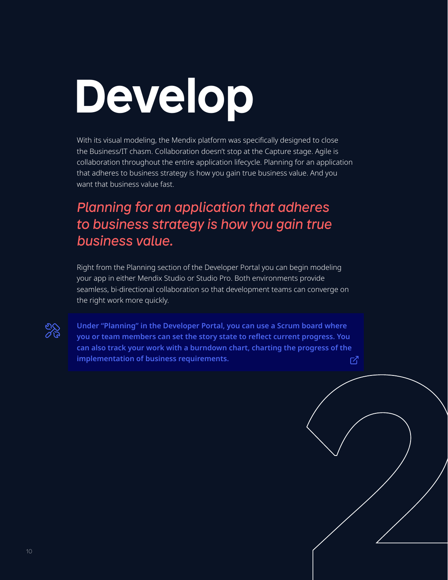# **Develop**

With its visual modeling, the Mendix platform was specifically designed to close the Business/IT chasm. Collaboration doesn't stop at the Capture stage. Agile is collaboration throughout the entire application lifecycle. Planning for an application that adheres to business strategy is how you gain true business value. And you want that business value fast.

### *Planning for an application that adheres to business strategy is how you gain true business value.*

Right from the Planning section of the Developer Portal you can begin modeling your app in either Mendix Studio or Studio Pro. Both environments provide seamless, bi-directional collaboration so that development teams can converge on the right work more quickly.

**Under "Planning" in the Developer Portal, you can use a Scrum board where you or team members can set the story state to reflect current progress. You [can also track your work with a burndown chart, charting the progress of the](https://docs.mendix.com/developerportal/develop/planning-development)  implementation of business requirements.** 



 $\mathbb{Z}_2^{\infty}$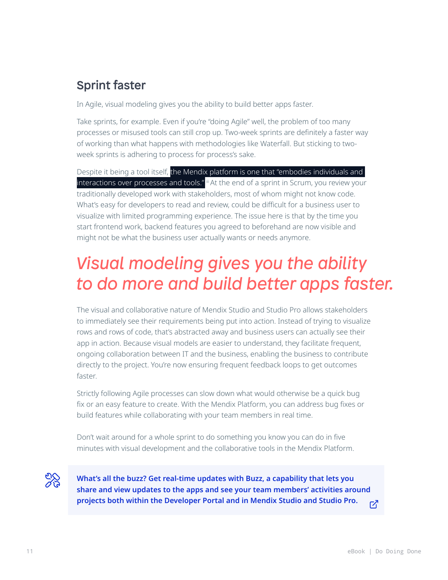### Sprint faster

In Agile, visual modeling gives you the ability to build better apps faster.

Take sprints, for example. Even if you're "doing Agile" well, the problem of too many processes or misused tools can still crop up. Two-week sprints are definitely a faster way of working than what happens with methodologies like Waterfall. But sticking to twoweek sprints is adhering to process for process's sake.

Despite it being a tool itself, the Mendix platform is one that "embodies individuals and interactions over processes and tools." iii At the end of a sprint in Scrum, you review your traditionally developed work with stakeholders, most of whom might not know code. What's easy for developers to read and review, could be difficult for a business user to visualize with limited programming experience. The issue here is that by the time you start frontend work, backend features you agreed to beforehand are now visible and might not be what the business user actually wants or needs anymore.

### *Visual modeling gives you the ability to do more and build better apps faster.*

The visual and collaborative nature of Mendix Studio and Studio Pro allows stakeholders to immediately see their requirements being put into action. Instead of trying to visualize rows and rows of code, that's abstracted away and business users can actually see their app in action. Because visual models are easier to understand, they facilitate frequent, ongoing collaboration between IT and the business, enabling the business to contribute directly to the project. You're now ensuring frequent feedback loops to get outcomes faster.

Strictly following Agile processes can slow down what would otherwise be a quick bug fix or an easy feature to create. With the Mendix Platform, you can address bug fixes or build features while collaborating with your team members in real time.

Don't wait around for a whole sprint to do something you know you can do in five minutes with visual development and the collaborative tools in the Mendix Platform.

22

**What's all the buzz? Get real-time updates with Buzz, a capability that lets you share and view updates to the apps and see your team members' activities around projects both within the Developer Portal and in Mendix Studio and Studio Pro.** 忆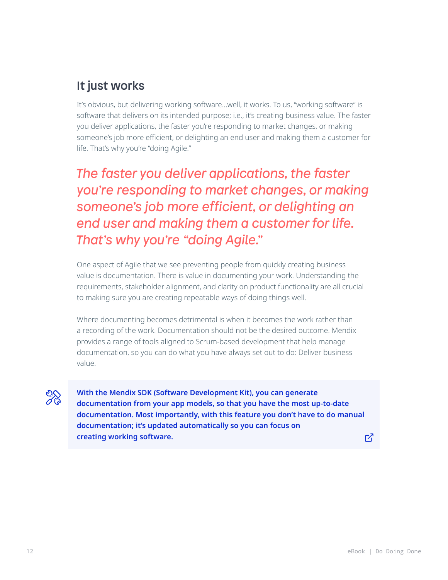### It just works

It's obvious, but delivering working software…well, it works. To us, "working software" is software that delivers on its intended purpose; i.e., it's creating business value. The faster you deliver applications, the faster you're responding to market changes, or making someone's job more efficient, or delighting an end user and making them a customer for life. That's why you're "doing Agile."

*The faster you deliver applications, the faster you're responding to market changes, or making someone's job more efficient, or delighting an end user and making them a customer for life. That's why you're "doing Agile."*

One aspect of Agile that we see preventing people from quickly creating business value is documentation. There is value in documenting your work. Understanding the requirements, stakeholder alignment, and clarity on product functionality are all crucial to making sure you are creating repeatable ways of doing things well.

Where documenting becomes detrimental is when it becomes the work rather than a recording of the work. Documentation should not be the desired outcome. Mendix provides a range of tools aligned to Scrum-based development that help manage documentation, so you can do what you have always set out to do: Deliver business value.



**With the Mendix SDK (Software Development Kit), you can generate documentation from your app models, so that you have the most up-to-date [documentation. Most importantly, with this feature you don't have to do manual](https://docs.mendix.com/apidocs-mxsdk/mxsdk/sdk-intro)  documentation; it's updated automatically so you can focus on creating working software.**

7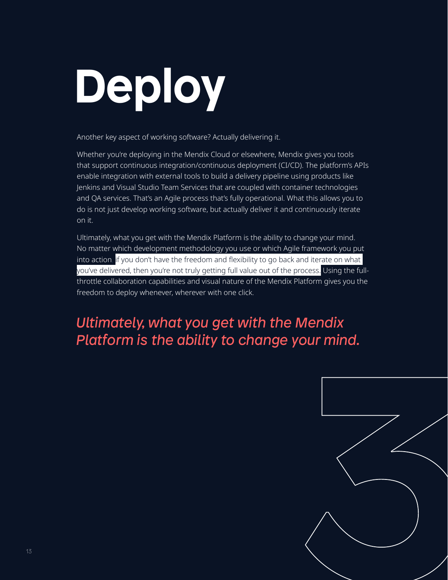# **Deploy**

Another key aspect of working software? Actually delivering it.

Whether you're deploying in the Mendix Cloud or elsewhere, Mendix gives you tools that support continuous integration/continuous deployment (CI/CD). The platform's APIs enable integration with external tools to build a delivery pipeline using products like Jenkins and Visual Studio Team Services that are coupled with container technologies and QA services. That's an Agile process that's fully operational. What this allows you to do is not just develop working software, but actually deliver it and continuously iterate on it.

Ultimately, what you get with the Mendix Platform is the ability to change your mind. No matter which development methodology you use or which Agile framework you put into action, if you don't have the freedom and flexibility to go back and iterate on what you've delivered, then you're not truly getting full value out of the process. Using the fullthrottle collaboration capabilities and visual nature of the Mendix Platform gives you the freedom to deploy whenever, wherever with one click.

### *Ultimately, what you get with the Mendix Platform is the ability to change your mind.*

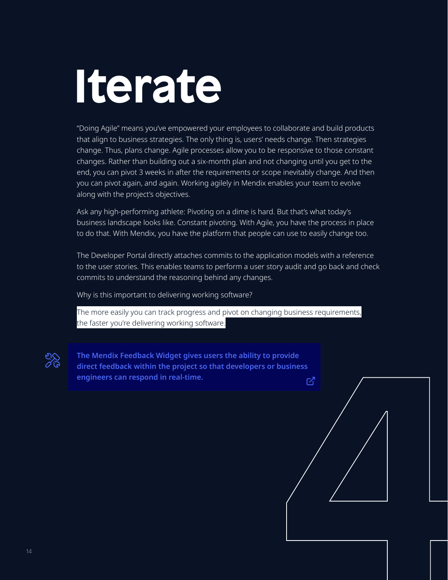# **Iterate**

"Doing Agile" means you've empowered your employees to collaborate and build products that align to business strategies. The only thing is, users' needs change. Then strategies change. Thus, plans change. Agile processes allow you to be responsive to those constant changes. Rather than building out a six-month plan and not changing until you get to the end, you can pivot 3 weeks in after the requirements or scope inevitably change. And then you can pivot again, and again. Working agilely in Mendix enables your team to evolve along with the project's objectives.

Ask any high-performing athlete: Pivoting on a dime is hard. But that's what today's business landscape looks like. Constant pivoting. With Agile, you have the process in place to do that. With Mendix, you have the platform that people can use to easily change too.

The Developer Portal directly attaches commits to the application models with a reference to the user stories. This enables teams to perform a user story audit and go back and check commits to understand the reasoning behind any changes.

Why is this important to delivering working software?

The more easily you can track progress and pivot on changing business requirements, the faster you're delivering working software.



 $\begin{picture}(120,140) \put(0,0){\line(1,0){100}} \put(15,0){\line(1,0){100}} \put(15,0){\line(1,0){100}} \put(15,0){\line(1,0){100}} \put(15,0){\line(1,0){100}} \put(15,0){\line(1,0){100}} \put(15,0){\line(1,0){100}} \put(15,0){\line(1,0){100}} \put(15,0){\line(1,0){100}} \put(15,0){\line(1,0){100}} \put(15,0){\line(1,0){100$  $\begin{picture}(120,140) \put(0,0){\line(1,0){100}} \put(15,0){\line(1,0){100}} \put(15,0){\line(1,0){100}} \put(15,0){\line(1,0){100}} \put(15,0){\line(1,0){100}} \put(15,0){\line(1,0){100}} \put(15,0){\line(1,0){100}} \put(15,0){\line(1,0){100}} \put(15,0){\line(1,0){100}} \put(15,0){\line(1,0){100}} \put(15,0){\line(1,0){100$  $\begin{picture}(120,140) \put(0,0){\line(1,0){100}} \put(15,0){\line(1,0){100}} \put(15,0){\line(1,0){100}} \put(15,0){\line(1,0){100}} \put(15,0){\line(1,0){100}} \put(15,0){\line(1,0){100}} \put(15,0){\line(1,0){100}} \put(15,0){\line(1,0){100}} \put(15,0){\line(1,0){100}} \put(15,0){\line(1,0){100}} \put(15,0){\line(1,0){100$ **The Mendix Feedback Widget gives users the ability to provide direct feedback within the project so that developers or business engineers can respond in real-time.**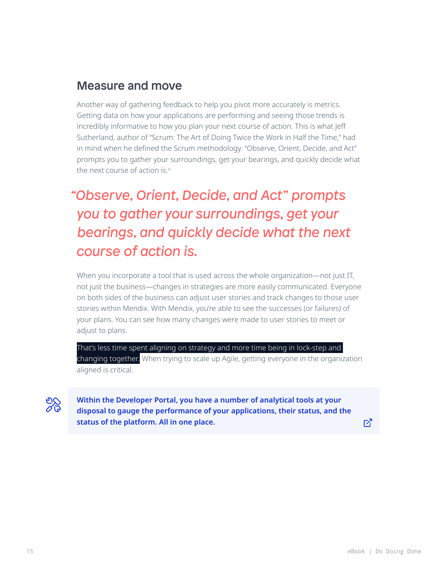### Measure and move

Another way of gathering feedback to help you pivot more accurately is metrics. Getting data on how your applications are performing and seeing those trends is incredibly informative to how you plan your next course of action. This is what Jeff Sutherland, author of "Scrum: The Art of Doing Twice the Work in Half the Time," had in mind when he defined the Scrum methodology. "Observe, Orient, Decide, and Act" prompts you to gather your surroundings, get your bearings, and quickly decide what the next course of action is.<sup>iv</sup>

### *"Observe, Orient, Decide, and Act" prompts you to gather your surroundings, get your bearings, and quickly decide what the next course of action is.*

When you incorporate a tool that is used across the whole organization—not just IT, not just the business—changes in strategies are more easily communicated. Everyone on both sides of the business can adjust user stories and track changes to those user stories within Mendix. With Mendix, you're able to see the successes (or failures) of your plans. You can see how many changes were made to user stories to meet or adjust to plans.

That's less time spent aligning on strategy and more time being in lock-step and changing together. When trying to scale up Agile, getting everyone in the organization aligned is critical.

ల్గ్గ

**Within the Developer Portal, you have a number of analytical tools at your [disposal to gauge the performance of your applications, their status, and the](https://docs.mendix.com/developerportal/operate/metrics)  status of the platform. All in one place.**

 $\mathbb{Z}$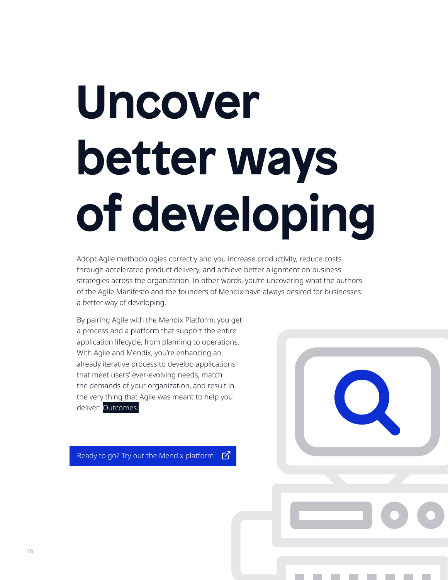# **Uncover better ways of developing**

Adopt Agile methodologies correctly and you increase productivity, reduce costs through accelerated product delivery, and achieve better alignment on business strategies across the organization. In other words, you're uncovering what the authors of the Agile Manifesto and the founders of Mendix have always desired for businesses: a better way of developing.

By pairing Agile with the Mendix Platform, you get a process and a platform that support the entire application lifecycle, from planning to operations. With Agile and Mendix, you're enhancing an already iterative process to develop applications that meet users' ever-evolving needs, match the demands of your organization, and result in the very thing that Agile was meant to help you deliver: Outcomes.

Ready to go? Try out the Mendix platform  $Z'$